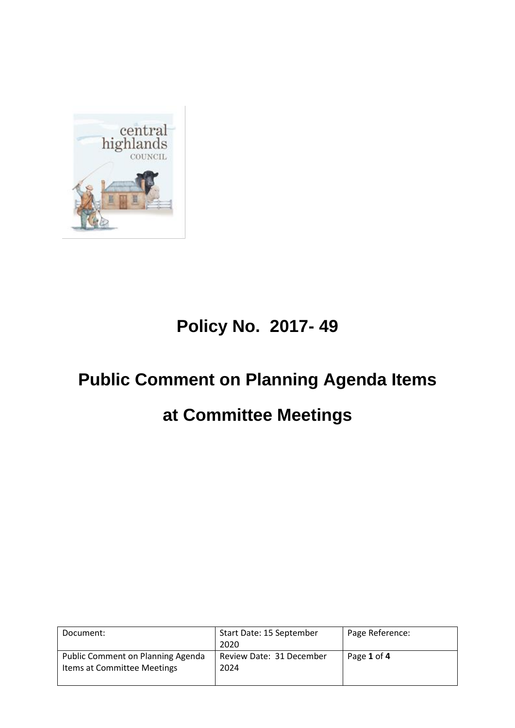

## **Policy No. 2017- 49**

# **Public Comment on Planning Agenda Items**

### **at Committee Meetings**

| Document:                                                        | Start Date: 15 September<br>2020 | Page Reference: |
|------------------------------------------------------------------|----------------------------------|-----------------|
| Public Comment on Planning Agenda<br>Items at Committee Meetings | Review Date: 31 December<br>2024 | Page 1 of 4     |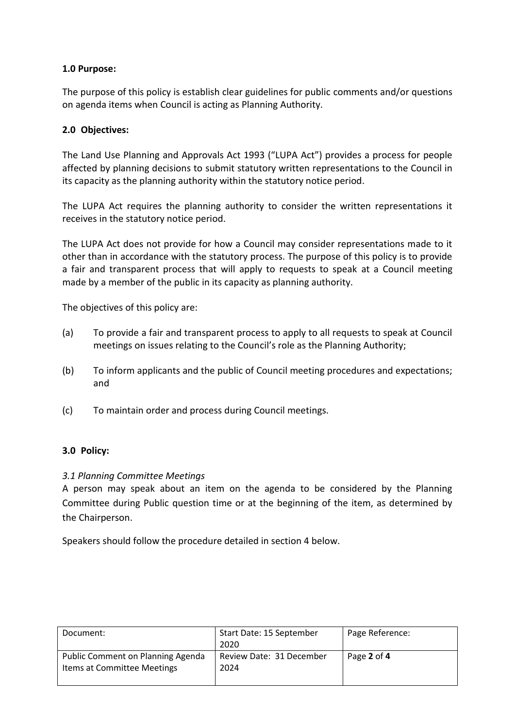#### **1.0 Purpose:**

The purpose of this policy is establish clear guidelines for public comments and/or questions on agenda items when Council is acting as Planning Authority.

#### **2.0 Objectives:**

The Land Use Planning and Approvals Act 1993 ("LUPA Act") provides a process for people affected by planning decisions to submit statutory written representations to the Council in its capacity as the planning authority within the statutory notice period.

The LUPA Act requires the planning authority to consider the written representations it receives in the statutory notice period.

The LUPA Act does not provide for how a Council may consider representations made to it other than in accordance with the statutory process. The purpose of this policy is to provide a fair and transparent process that will apply to requests to speak at a Council meeting made by a member of the public in its capacity as planning authority.

The objectives of this policy are:

- (a) To provide a fair and transparent process to apply to all requests to speak at Council meetings on issues relating to the Council's role as the Planning Authority;
- (b) To inform applicants and the public of Council meeting procedures and expectations; and
- (c) To maintain order and process during Council meetings.

#### **3.0 Policy:**

#### *3.1 Planning Committee Meetings*

A person may speak about an item on the agenda to be considered by the Planning Committee during Public question time or at the beginning of the item, as determined by the Chairperson.

Speakers should follow the procedure detailed in section 4 below.

| Document:                         | Start Date: 15 September | Page Reference: |
|-----------------------------------|--------------------------|-----------------|
|                                   | 2020                     |                 |
| Public Comment on Planning Agenda | Review Date: 31 December | Page 2 of 4     |
| Items at Committee Meetings       | 2024                     |                 |
|                                   |                          |                 |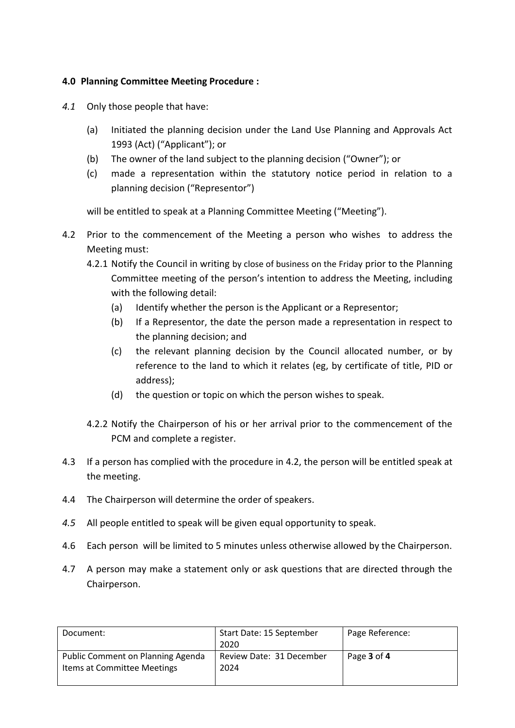#### **4.0 Planning Committee Meeting Procedure :**

- *4.1* Only those people that have:
	- (a) Initiated the planning decision under the Land Use Planning and Approvals Act 1993 (Act) ("Applicant"); or
	- (b) The owner of the land subject to the planning decision ("Owner"); or
	- (c) made a representation within the statutory notice period in relation to a planning decision ("Representor")

will be entitled to speak at a Planning Committee Meeting ("Meeting").

- 4.2 Prior to the commencement of the Meeting a person who wishes to address the Meeting must:
	- 4.2.1 Notify the Council in writing by close of business on the Friday prior to the Planning Committee meeting of the person's intention to address the Meeting, including with the following detail:
		- (a) Identify whether the person is the Applicant or a Representor;
		- (b) If a Representor, the date the person made a representation in respect to the planning decision; and
		- (c) the relevant planning decision by the Council allocated number, or by reference to the land to which it relates (eg, by certificate of title, PID or address);
		- (d) the question or topic on which the person wishes to speak.
	- 4.2.2 Notify the Chairperson of his or her arrival prior to the commencement of the PCM and complete a register.
- 4.3 If a person has complied with the procedure in 4.2, the person will be entitled speak at the meeting.
- 4.4 The Chairperson will determine the order of speakers.
- *4.5* All people entitled to speak will be given equal opportunity to speak.
- 4.6 Each person will be limited to 5 minutes unless otherwise allowed by the Chairperson.
- 4.7 A person may make a statement only or ask questions that are directed through the Chairperson.

| Document:                                                        | Start Date: 15 September<br>2020 | Page Reference: |
|------------------------------------------------------------------|----------------------------------|-----------------|
| Public Comment on Planning Agenda<br>Items at Committee Meetings | Review Date: 31 December<br>2024 | Page 3 of 4     |